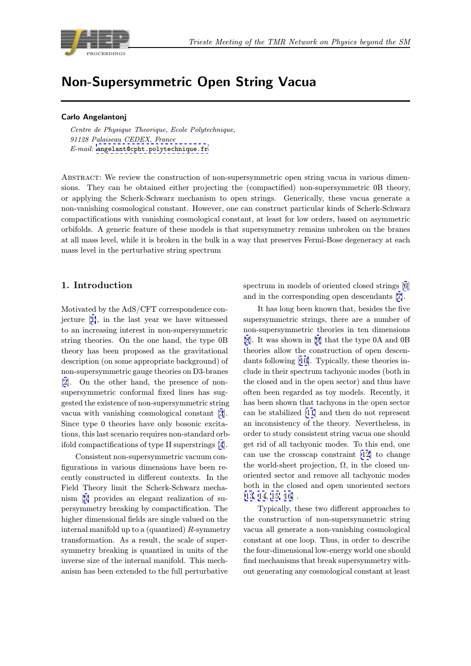

# Non-Supersymmetric Open String Stream

Centre de Physique Theorique, Ecole Polytechnique, 91128 Palaiseau CEDEX, France E-mail: angelant@cpht.polytechnique.fr

Abstract: We review the construction of non-supersymmetric open string vacua in various dimensions. T[hey can be obtained either proje](mailto:angelant@cpht.polytechnique.fr)cting the (compactified) non-supersymmetric 0B theory, or applying the Scherk-Schwarz mechanism to open strings. Generically, these vacua generate a non-vanishing cosmological constant. However, one can construct particular kinds of Scherk-Schwarz compactifications with vanishing cosmological constant, at least for low orders, based on asymmetric orbifolds. A generic feature of these models is that supersymmetry remains unbroken on the branes at all mass level, while it is broken in the bulk in a way that preserves Fermi-Bose degeneracy at each mass level in the perturbative string spectrum

### 1. Introduction

Motivated by the AdS/CFT correspondence conjecture [1], in the last year we have witnessed to an increasing interest in non-supersymmetric string theories. On the one hand, the type 0B theory has been proposed as the gravitational descripti[on](#page-5-0) (on some appropriate background) of non-supersymmetric gauge theories on D3-branes [2]. On the other hand, the presence of nonsupersymmetric conformal fixed lines has suggested the existence of non-supersymmetric string vacua with vanishing cosmological constant [3]. [Si](#page-5-0)nce type 0 theories have only bosonic excitations, this last scenario requires non-standard orbifold compactifications of type II superstrings [4].

Consistent non-supersymmetric vacuum c[on](#page-6-0)figurations in various dimensions have been recently constructed in different contexts. In the Field Theory limit the Scherk-Schwarz mec[ha](#page-6-0)nism [5] provides an elegant realization of supersymmetry breaking by compactification. The higher dimensional fields are single valued on the internal manifold up to a (quantized) R-symmetry transf[or](#page-6-0)mation. As a result, the scale of supersymmetry breaking is quantized in units of the inverse size of the internal manifold. This mechanism has been extended to the full perturbative

spectrum in models of oriented closed strings [6] and in the corresponding open descendants [7].

It has long been known that, besides the five supersymmetric strings, there are a number of non-supersymmetric theories in ten dimensio[ns](#page-6-0) [8]. It was shown in [9] that the type 0A an[d](#page-6-0) [0](#page-6-0)B theories allow the construction of open descendants following [10]. Typically, these theories include in their spectrum tachyonic modes (both in [th](#page-6-0)e closed and in the [o](#page-6-0)pen sector) and thus have often been regarded as toy models. Recently, it has been shown [tha](#page-6-0)t tachyons in the open sector can be stabilized [11] and then do not represent an inconsistency of the theory. Nevertheless, in order to study consistent string vacua one should get rid of all tachyonic modes. To this end, one can use the cross[cap](#page-6-0) constraint [12] to change the world-sheet projection,  $\Omega$ , in the closed unoriented sector and remove all tachyonic modes both in the closed and open uno[rien](#page-6-0)ted sectors  $[13, 14, 15, 16]$ .

Typically, these two different approaches to the construction of non-supersymmetric string vacua all generate a non-vanishing cosmological [constant](#page-6-0) [at](#page-6-0) [on](#page-6-0)e loop. Thus, in order to describe the four-dimensional low-energy world one should find mechanisms that break supersymmetry without generating any cosmological constant at least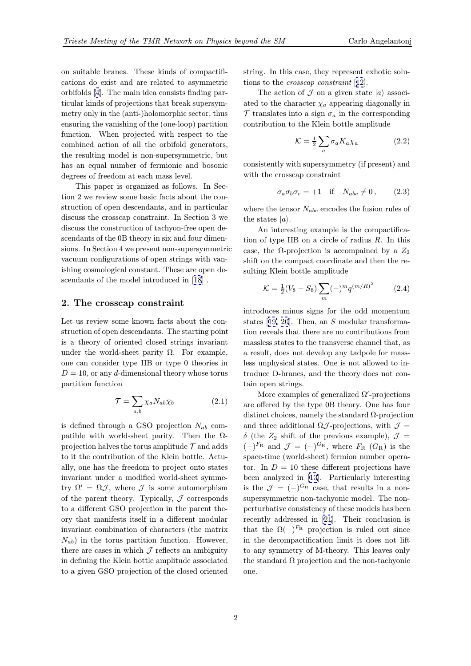on suitable branes. These kinds of compactifications do exist and are related to asymmetric orbifolds [4]. The main idea consists finding particular kinds of projections that break supersymmetry only in the (anti-)holomorphic sector, thus ensuring the vanishing of the (one-loop) partition function. [W](#page-6-0)hen projected with respect to the combined action of all the orbifold generators, the resulting model is non-supersymmetric, but has an equal number of fermionic and bosonic degrees of freedom at each mass level.

This paper is organized as follows. In Section 2 we review some basic facts about the construction of open descendants, and in particular discuss the crosscap constraint. In Section 3 we discuss the construction of tachyon-free open descendants of the 0B theory in six and four dimensions. In Section 4 we present non-supersymmetric vacuum configurations of open strings with vanishing cosmological constant. These are open descendants of the model introduced in [18] .

#### 2. The crosscap constraint

Let us review some known facts abou[t t](#page-6-0)he construction of open descendants. The starting point is a theory of oriented closed strings invariant under the world-sheet parity  $\Omega$ . For example, one can consider type IIB or type 0 theories in  $D = 10$ , or any d-dimensional theory whose torus partition function

$$
\mathcal{T} = \sum_{a,b} \chi_a N_{ab} \bar{\chi}_b \tag{2.1}
$$

is defined through a GSO projection  $N_{ab}$  compatible with world-sheet parity. Then the  $\Omega$ projection halves the torus amplitude  $\mathcal T$  and adds to it the contribution of the Klein bottle. Actually, one has the freedom to project onto states invariant under a modified world-sheet symmetry  $\Omega' = \Omega \mathcal{J}$ , where  $\mathcal J$  is some automorphism of the parent theory. Typically,  $J$  corresponds to a different GSO projection in the parent theory that manifests itself in a different modular invariant combination of characters (the matrix  $N_{ab}$ ) in the torus partition function. However, there are cases in which  $\mathcal J$  reflects an ambiguity in defining the Klein bottle amplitude associated to a given GSO projection of the closed oriented string. In this case, they represent exhotic solutions to the crosscap constraint [12].

The action of  $\mathcal J$  on a given state  $|a\rangle$  associated to the character  $\chi_a$  appearing diagonally in  $\mathcal T$  translates into a sign  $\sigma_a$  in the corresponding contribution to the Klein bottle [am](#page-6-0)plitude

$$
\mathcal{K} = \frac{1}{2} \sum_{a} \sigma_a K_a \chi_a \tag{2.2}
$$

consistently with supersymmetry (if present) and with the crosscap constraint

$$
\sigma_a \sigma_b \sigma_c = +1 \quad \text{if} \quad N_{abc} \neq 0 \,, \tag{2.3}
$$

where the tensor  $N_{abc}$  encodes the fusion rules of the states  $|a\rangle$ .

An interesting example is the compactification of type IIB on a circle of radius  $R$ . In this case, the  $\Omega$ -projection is accompained by a  $Z_2$ shift on the compact coordinate and then the resulting Klein bottle amplitude

$$
\mathcal{K} = \frac{1}{2}(V_8 - S_8) \sum_{m} (-)^m q^{(m/R)^2} \tag{2.4}
$$

introduces minus signs for the odd momentum states [19, 20]. Then, an S modular transformation reveals that there are no contributions from massless states to the transverse channel that, as a result, does not develop any tadpole for massless un[physica](#page-6-0)l states. One is not allowed to introduce D-branes, and the theory does not contain open strings.

More examples of generalized  $\Omega'$ -projections are offered by the type 0B theory. One has four distinct choices, namely the standard  $\Omega$ -projection and three additional  $\Omega \mathcal{J}$ -projections, with  $\mathcal{J} =$  $\delta$  (the  $Z_2$  shift of the previous example),  $\mathcal{J} =$  $(-)^{F_{\rm R}}$  and  $\mathcal{J} = (-)^{G_{\rm R}}$ , where  $F_{\rm R}$   $(G_{\rm R})$  is the space-time (world-sheet) fermion number operator. In  $D = 10$  these different projections have been analyzed in [13]. Particularly interesting is the  $\mathcal{J} = (-)^{G_{\rm R}}$  case, that results in a nonsupersymmetric non-tachyonic model. The nonperturbative consistency of these models has been recently addressed [in](#page-6-0) [21]. Their conclusion is that the  $\Omega(-)^{F_{\rm R}}$  projection is ruled out since in the decompactification limit it does not lift to any symmetry of M-theory. This leaves only the standard  $\Omega$  projecti[on](#page-6-0) and the non-tachyonic one.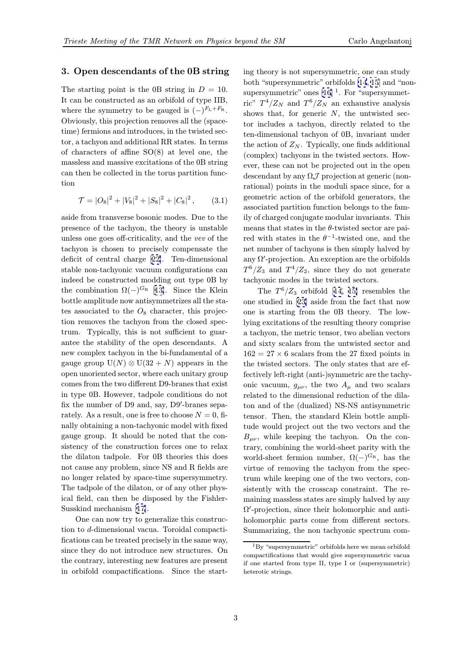# 3. Open descendants of the 0B string

The starting point is the 0B string in  $D = 10$ . It can be constructed as an orbifold of type IIB, where the symmetry to be gauged is  $(-)^{F_L+F_R}$ . Obviously, this projection removes all the (spacetime) fermions and introduces, in the twisted sector, a tachyon and additional RR states. In terms of characters of affine SO(8) at level one, the massless and massive excitations of the 0B string can then be collected in the torus partition function

$$
\mathcal{T} = |O_8|^2 + |V_8|^2 + |S_8|^2 + |C_8|^2, \qquad (3.1)
$$

aside from transverse bosonic modes. Due to the presence of the tachyon, the theory is unstable unless one goes off-criticality, and the vev of the tachyon is chosen to precisely compensate the deficit of central charge [22]. Ten-dimensional stable non-tachyonic vacuum configurations can indeed be constructed modding out type 0B by the combination  $\Omega(-)^{G_{\rm R}}$  [13]. Since the Klein bottle amplitude now antis[ym](#page-6-0)metrizes all the states associated to the  $O_8$  character, this projection removes the tachyon from the closed spectrum. Typically, this is n[ot](#page-6-0) sufficient to guarantee the stability of the open descendants. A new complex tachyon in the bi-fundamental of a gauge group  $U(N) \otimes U(32+N)$  appears in the open unoriented sector, where each unitary group comes from the two different D9-branes that exist in type 0B. However, tadpole conditions do not fix the number of D9 and, say,  $D9'$ -branes separately. As a result, one is free to choose  $N = 0$ , finally obtaining a non-tachyonic model with fixed gauge group. It should be noted that the consistency of the construction forces one to relax the dilaton tadpole. For 0B theories this does not cause any problem, since NS and R fields are no longer related by space-time supersymmetry. The tadpole of the dilaton, or of any other physical field, can then be disposed by the Fishler-Susskind mechanism [17].

One can now try to generalize this construction to d-dimensional vacua. Toroidal compactifications can be treated precisely in the same way, since they do not int[rod](#page-6-0)uce new structures. On the contrary, interesting new features are present in orbifold compactifications. Since the start-

ing theory is not supersymmetric, one can study both "supersymmetric" orbifolds [14, 15] and "nonsupersymmetric" ones  $[16]$ <sup>1</sup>. For "supersymmetric"  $T^4/Z_N$  and  $T^6/Z_N$  an exhaustive analysis shows that, for generic  $N$ , the untwisted sector includes a tachyon, directly [re](#page-6-0)l[ate](#page-6-0)d to the ten-dimensional tachy[on](#page-6-0) of 0B, invariant under the action of  $Z_N$ . Typically, one finds additional (complex) tachyons in the twisted sectors. However, these can not be projected out in the open descendant by any  $\Omega \mathcal{J}$  projection at generic (nonrational) points in the moduli space since, for a geometric action of the orbifold generators, the associated partition function belongs to the family of charged conjugate modular invariants. This means that states in the  $\theta$ -twisted sector are paired with states in the  $\theta^{-1}$ -twisted one, and the net number of tachyons is then simply halved by any  $\Omega'$ -projection. An exception are the orbifolds  $T^6/Z_3$  and  $T^4/Z_2$ , since they do not generate tachyonic modes in the twisted sectors.

The  $T^6/Z_3$  orbifold [14, 15] resembles the one studied in [23] aside from the fact that now one is starting from the 0B theory. The lowlying excitations of the resulting theory comprise a tachyon, the metric tens[or,](#page-6-0) t[wo](#page-6-0) abelian vectors and sixty scala[rs f](#page-6-0)rom the untwisted sector and  $162 = 27 \times 6$  scalars from the 27 fixed points in the twisted sectors. The only states that are effectively left-right (anti-)symmetric are the tachyonic vacuum,  $g_{\mu\nu}$ , the two  $A_{\mu}$  and two scalars related to the dimensional reduction of the dilaton and of the (dualized) NS-NS antisymmetric tensor. Then, the standard Klein bottle amplitude would project out the two vectors and the  $B_{\mu\nu}$ , while keeping the tachyon. On the contrary, combining the world-sheet parity with the world-sheet fermion number,  $\Omega(-)^{G_R}$ , has the virtue of removing the tachyon from the spectrum while keeping one of the two vectors, consistently with the crosscap constraint. The remaining massless states are simply halved by any  $\Omega'$ -projection, since their holomorphic and antiholomorphic parts come from different sectors. Summarizing, the non tachyonic spectrum com-

 ${}^{1}_{1}$ By "supersymmetric" orbifolds here we mean orbifold compactifications that would give supersymmetric vacua if one started from type II, type I or (supersymmetric) heterotic strings.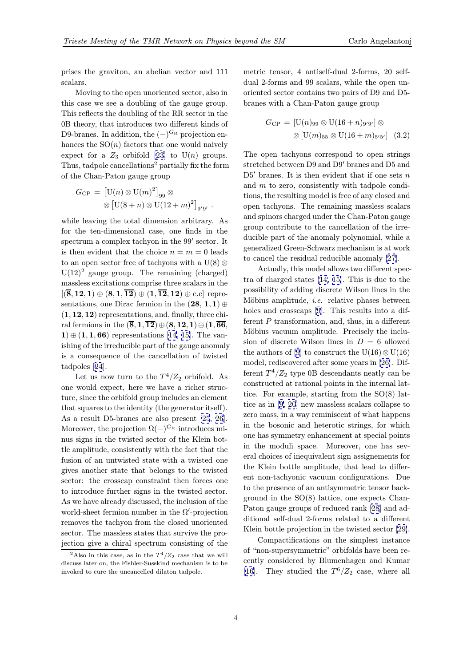prises the graviton, an abelian vector and 111 scalars.

Moving to the open unoriented sector, also in this case we see a doubling of the gauge group. This reflects the doubling of the RR sector in the 0B theory, that introduces two different kinds of D9-branes. In addition, the  $(-)^{G_R}$  projection enhances the  $SO(n)$  factors that one would naively expect for a  $Z_3$  orbifold [23] to  $U(n)$  groups. Thus, tadpole cancellations<sup>2</sup> partially fix the form of the Chan-Paton gauge group

$$
G_{\rm CP} = \left[ \mathrm{U}(n) \otimes \mathrm{U}(m)^2 \right]_{99} \otimes
$$
  
 
$$
\otimes \left[ \mathrm{U}(8+n) \otimes \mathrm{U}(12+m)^2 \right]_{9'9'}.
$$

while leaving the total dimension arbitrary. As for the ten-dimensional case, one finds in the spectrum a complex tachyon in the  $99'$  sector. It is then evident that the choice  $n = m = 0$  leads to an open sector free of tachyons with a U(8)  $\otimes$  $U(12)^2$  gauge group. The remaining (charged) massless excitations comprise three scalars in the  $[({\bf \overline{8}}, {\bf 12}, {\bf 1}) \oplus ({\bf 8}, {\bf 1}, {\bf \overline{12}}) \oplus ({\bf 1}, {\bf \overline{12}}, {\bf 12}) \oplus {\rm c.c}]$  representations, one Dirac fermion in the  $(28, 1, 1) \oplus$  $(1, 12, 12)$  representations, and, finally, three chiral fermions in the  $(\overline{8},1,\overline{12})\oplus(8,12,1)\oplus(1,\overline{66})$ ,  $1) \oplus (1, 1, 66)$  representations [14, 15]. The vanishing of the irreducible part of the gauge anomaly is a consequence of the cancellation of twisted tadpoles [24].

Let us now turn to the  $T^4/Z_2$  $T^4/Z_2$  $T^4/Z_2$  [or](#page-6-0)bifold. As one would expect, here we have a richer structure, since the orbifold group includes an element that squa[res](#page-6-0) to the identity (the generator itself). As a result D5-branes are also present [25, 26]. Moreover, the projection  $\Omega(-)^{G_R}$  introduces minus signs in the twisted sector of the Klein bottle amplitude, consistently with the fact that the fusion of an untwisted state with a twis[ted on](#page-6-0)e gives another state that belongs to the twisted sector: the crosscap constraint then forces one to introduce further signs in the twisted sector. As we have already discussed, the inclusion of the world-sheet fermion number in the  $\Omega'$ -projection removes the tachyon from the closed unoriented sector. The massless states that survive the projection give a chiral spectrum consisting of the metric tensor, 4 antiself-dual 2-forms, 20 selfdual 2-forms and 99 scalars, while the open unoriented sector contains two pairs of D9 and D5 branes with a Chan-Paton gauge group

$$
G_{\rm CP} = [U(n)_{99} \otimes U(16+n)_{9'9'}] \otimes
$$
  
 
$$
\otimes [U(m)_{55} \otimes U(16+m)_{5'5'}] \quad (3.2)
$$

The open tachyons correspond to open strings stretched between  $D9$  and  $D9'$  branes and  $D5$  and  $D5'$  branes. It is then evident that if one sets n and m to zero, consistently with tadpole conditions, the resulting model is free of any closed and open tachyons. The remaining massless scalars and spinors charged under the Chan-Paton gauge group contribute to the cancellation of the irreducible part of the anomaly polynomial, while a generalized Green-Schwarz mechanism is at work to cancel the residual reducible anomaly [27].

Actually, this model allows two different spectra of charged states [14, 15]. This is due to the possibility of adding discrete Wilson lines in the Möbius amplitude, *i.e.* relative phases b[etw](#page-6-0)een holes and crosscaps [9]. This results into a different  $P$  transformati[on,](#page-6-0) [and](#page-6-0), thus, in a different Möbius vacuum amplitude. Precisely the inclusion of discrete Wilson lines in  $D = 6$  allowed the authors of [9] to [co](#page-6-0)nstruct the U(16)⊗ U(16) model, rediscovered after some years in [26]. Different  $T^4/Z_2$  type 0B descendants neatly can be constructed at rational points in the internal lattice. For exam[p](#page-6-0)le, starting from the SO(8) lattice as in [9, 20] new massless scalars c[olla](#page-6-0)pse to zero mass, in a way reminiscent of what happens in the bosonic and heterotic strings, for which one has symmetry enhancement at special points in the m[oduli](#page-6-0) space. Moreover, one has several choices of inequivalent sign assignements for the Klein bottle amplitude, that lead to different non-tachyonic vacuum configurations. Due to the presence of an antisymmetric tensor background in the SO(8) lattice, one expects Chan-Paton gauge groups of reduced rank [28] and additional self-dual 2-forms related to a different Klein bottle projection in the twisted sector [29].

Compactifications on the simplest instance of "non-supersymmetric" orbifolds h[ave](#page-7-0) been recently considered by Blumenhagen and Kumar [16]. They studied the  $T^6/Z_2$  case, wher[e al](#page-7-0)l

<sup>&</sup>lt;sup>2</sup>Also in this case, as in the  $T^4/Z_2$  case that we will discuss later on, the Fishler-Susskind mechanism is to be invoked to cure the uncancelled dilaton tadpole.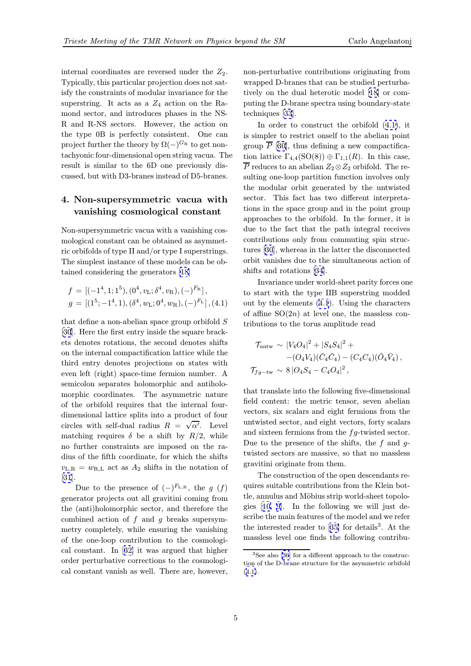<span id="page-4-0"></span>internal coordinates are reversed under the  $Z_2$ . Typically, this particular projection does not satisfy the constraints of modular invariance for the superstring. It acts as a  $Z_4$  action on the Ramond sector, and introduces phases in the NS-R and R-NS sectors. However, the action on the type 0B is perfectly consistent. One can project further the theory by  $\Omega(-)^{G_R}$  to get nontachyonic four-dimensional open string vacua. The result is similar to the 6D one previously discussed, but with D3-branes instead of D5-branes.

# 4. Non-supersymmetric vacua with vanishing cosmological constant

Non-supersymmetric vacua with a vanishing cosmological constant can be obtained as asymmetric orbifolds of type II and/or type I superstrings. The simplest instance of these models can be obtained considering the generators [18]

$$
f = [(-14, 1; 15), (04, vL; \delta4, vR), (-)FR],
$$
  

$$
g = [(15; -14, 1), (\delta4, wL; 04, wR), (-)FL], (4.1)
$$

that define a non-abelian space group orbifold  $S$ [30]. Here the first entry inside the square brackets denotes rotations, the second denotes shifts on the internal compactification lattice while the third entry denotes projections on states with [eve](#page-7-0)n left (right) space-time fermion number. A semicolon separates holomorphic and antiholomorphic coordinates. The asymmetric nature of the orbifold requires that the internal fourdimensional lattice splits into a product of four circles with self-dual radius  $R = \sqrt{\alpha'}$ . Level matching requires  $\delta$  be a shift by  $R/2$ , while no further constraints are imposed on the radius of the fifth coordinate, for which the shifts  $v_{L,R} = w_{R,L}$  act as  $A_2$  shifts in the notation of [31].

Due to the presence of  $(-)^{F_{L,R}}$ , the g  $(f)$ generator projects out all gravitini coming from the (anti)holomorphic sector, and therefore the [com](#page-7-0)bined action of  $f$  and  $q$  breaks supersymmetry completely, while ensuring the vanishing of the one-loop contribution to the cosmological constant. In [32] it was argued that higher order perturbative corrections to the cosmological constant vanish as well. There are, however, non-perturbative contributions originating from wrapped D-branes that can be studied perturbatively on the dual heterotic model [18] or computing the D-brane spectra using boundary-state techniques [33].

In order to construct the orbifold (4.1), it is simpler to restrict onself to the a[bel](#page-6-0)ian point group  $\overline{P}$  [30], thus defining a new compactification lattice  $\Gamma_{4,4}(\text{SO}(8)) \oplus \Gamma_{1,1}(R)$ . In this case,  $\overline{P}$  reduces to an abelian  $Z_2 \otimes Z_2$  orbifold. The resulting one-loop partition function involves only the mod[ular](#page-7-0) orbit generated by the untwisted sector. This fact has two different interpretations in the space group and in the point group approaches to the orbifold. In the former, it is due to the fact that the path integral receives contributions only from commuting spin structures [30], whereas in the latter the disconnected orbit vanishes due to the simultaneous action of shifts and rotations [34].

Invariance under world-sheet parity forces one to sta[rt](#page-7-0) with the type IIB superstring modded out by the elements (4.1). Using the characters of affine  $SO(2n)$  at [lev](#page-7-0)el one, the massless contributions to the torus amplitude read

$$
\mathcal{T}_{\text{untw}} \sim |V_4 O_4|^2 + |S_4 S_4|^2 +
$$
  
- $(O_4 V_4)(\bar{C}_4 \bar{C}_4) - (C_4 C_4)(\bar{O}_4 \bar{V}_4),$   
 $\mathcal{T}_{fg-\text{tw}} \sim 8 |O_4 S_4 - C_4 O_4|^2,$ 

that translate into the following five-dimensional field content: the metric tensor, seven abelian vectors, six scalars and eight fermions from the untwisted sector, and eight vectors, forty scalars and sixteen fermions from the  $fg$ -twisted sector. Due to the presence of the shifts, the  $f$  and  $g$ twisted sectors are massive, so that no massless gravitini originate from them.

The construction of the open descendants requires suitable contributions from the Klein bottle, annulus and Möbius strip world-sheet topologies [10, 9]. In the following we will just describe the main features of the model and we refer the interested reader to  $[35]$  for details<sup>3</sup>. At the massl[ess](#page-6-0) [le](#page-6-0)vel one finds the following contribu-

<sup>&</sup>lt;sup>3</sup>See also [36] for a different approach to the construction of the D-brane structure [for](#page-7-0) the asymmetric orbifold  $(4.1).$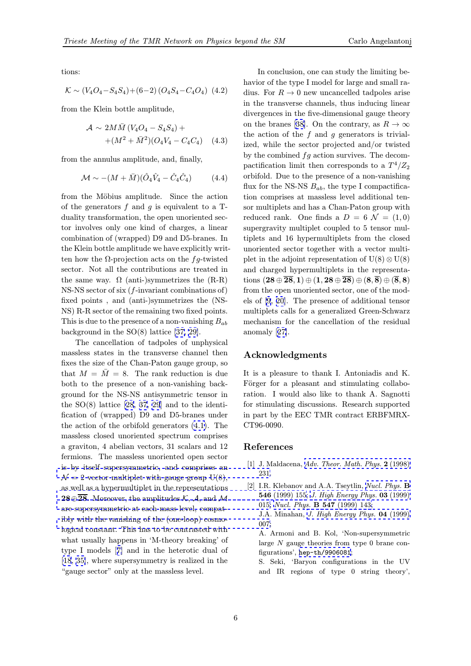<span id="page-5-0"></span>tions:

$$
\mathcal{K} \sim (V_4O_4 - S_4S_4) + (6-2)(O_4S_4 - C_4O_4)
$$
 (4.2)

from the Klein bottle amplitude,

$$
\mathcal{A} \sim 2M\bar{M} (V_4O_4 - S_4S_4) + +(M^2 + \bar{M}^2)(O_4V_4 - C_4C_4)
$$
 (4.3)

from the annulus amplitude, and, finally,

$$
\mathcal{M} \sim -(M+\bar{M})(\hat{O}_4\hat{V}_4 - \hat{C}_4\hat{C}_4) \tag{4.4}
$$

from the Möbius amplitude. Since the action of the generators  $f$  and  $g$  is equivalent to a Tduality transformation, the open unoriented sector involves only one kind of charges, a linear combination of (wrapped) D9 and D5-branes. In the Klein bottle amplitude we have explicitly written how the  $\Omega$ -projection acts on the fg-twisted sector. Not all the contributions are treated in the same way.  $\Omega$  (anti-)symmetrizes the  $(R-R)$ NS-NS sector of six  $(f\text{-invariant combinations of})$ fixed points , and (anti-)symmetrizes the (NS-NS) R-R sector of the remaining two fixed points. This is due to the presence of a non-vanishing  $B_{ab}$ background in the SO(8) lattice [37, 29].

The cancellation of tadpoles of unphysical massless states in the transverse channel then fixes the size of the Chan-Paton gauge group, so that  $M = \overline{M} = 8$ . The rank r[eductio](#page-7-0)n is due both to the presence of a non-vanishing background for the NS-NS antisymmetric tensor in the  $SO(8)$  lattice  $[28, 37, 29]$  and to the identification of (wrapped) D9 and D5-branes under the action of the orbifold generators (4.1). The massless closed unoriented spectrum comprises a graviton, 4 abel[ian](#page-7-0) [vec](#page-7-0)t[ors](#page-7-0), 31 scalars and 12 fermions. The massless unoriented open sector is by itself supersymmetric, and co[mpri](#page-4-0)ses an  $\mathcal{N}=2$  vector multiplet with gauge group U(8), as well as a hypermultiplet in the representations  $28 \oplus \overline{28}$ . Moreover, the amplitudes K, A, and M [are supersymmetric at each mass level, compat](http://www-spires.slac.stanford.edu/spires/find/hep/www?j=00203%2C2%2C231)ibly with the vanishing of the (one-loop) cosmo[logical constant. This has to be contrasted with](http://www-spires.slac.stanford.edu/spires/find/hep/www?j=NUPHA%2CB546%2C155) [what usually happens in 'M-theory breaking' of](http://jhep.sissa.it/stdsearch?paper=03%281999%29015) type I models [7] and in the heterotic dual of [\[18, 35\], where supersymmetry is realized in the](http://jhep.sissa.it/stdsearch?paper=04%281999%29007) "gauge sector" only at the massless level.

In conclusion, one can study the limiting behavior of the type I model for large and small radius. For  $R \to 0$  new uncancelled tadpoles arise in the transverse channels, thus inducing linear divergences in the five-dimensional gauge theory on the branes [38]. On the contrary, as  $R \to \infty$ the action of the  $f$  and  $g$  generators is trivialized, while the sector projected and/or twisted by the combined  $fg$  action survives. The decompactification li[mit](#page-7-0) then corresponds to a  $T^4/Z_2$ orbifold. Due to the presence of a non-vanishing flux for the NS-NS  $B_{ab}$ , the type I compactification comprises at massless level additional tensor multiplets and has a Chan-Paton group with reduced rank. One finds a  $D = 6 \mathcal{N} = (1, 0)$ supergravity multiplet coupled to 5 tensor multiplets and 16 hypermultiplets from the closed unoriented sector together with a vector multiplet in the adjoint representation of  $U(8) \otimes U(8)$ and charged hypermultiplets in the representations  $(28 \oplus \overline{28}, 1) \oplus (1, 28 \oplus \overline{28}) \oplus (8, \overline{8}) \oplus (\overline{8}, 8)$ from the open unoriented sector, one of the models of [9, 20]. The presence of additional tensor multiplets calls for a generalized Green-Schwarz mechanism for the cancellation of the residual anoma[ly](#page-6-0) [\[27](#page-6-0)].

## Acknowledgments

It is a pl[eas](#page-6-0)ure to thank I. Antoniadis and K. Förger for a pleasant and stimulating collaboration. I would also like to thank A. Sagnotti for stimulating discussions. Research supported in part by the EEC TMR contract ERBFMRX-CT96-0090.

### References

- [1] J. Maldacena, Adv. Theor. Math. Phys. 2 (1998) 231.
- [2] I.R. Klebanov and A.A. Tseytlin, Nucl. Phys. B 546 (1999) 155; J. High Energy Phys. 03 (1999) 015; Nucl. Phys. B 547 [\(1999\) 143;](http://www-spires.slac.stanford.edu/spires/find/hep/www?j=00203%2C2%2C231) J.A. Minahan, J. High Energy Phys. 04 (1999)

007; A. Armoni and [B. Kol, 'Non-supersymmetric](http://jhep.sissa.it/stdsearch?paper=03%281999%29015) large N [gauge theories from type 0](http://www-spires.slac.stanford.edu/spires/find/hep/www?j=NUPHA%2CB547%2C143) brane configurations', he[p-th/9906081](http://jhep.sissa.it/stdsearch?paper=04%281999%29007);

S. Seki, 'Baryon configurations in the UV and IR regions of type 0 string theory',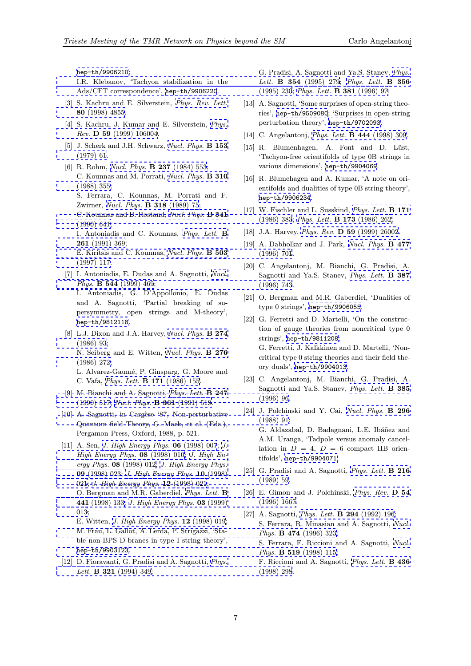<span id="page-6-0"></span>hep-th/9906210;

I.R. Klebanov, 'Tachyon stabilization in the Ads/CFT correspondence', hep-th/9906220.

- [3] S. Kachru and E. Silverstein, Phys. Rev. Lett. 80 [\(1998\) 4855.](http://xxx.lanl.gov/abs/hep-th/9906210)
- [\[4\]](http://www-spires.slac.stanford.edu/spires/find/hep/www?j=PHLTA%2CB354%2C279)[S.](http://www-spires.slac.stanford.edu/spires/find/hep/www?j=PHLTA%2CB354%2C279) [Kachru,](http://www-spires.slac.stanford.edu/spires/find/hep/www?j=PHLTA%2CB354%2C279) [J.](http://www-spires.slac.stanford.edu/spires/find/hep/www?j=PHLTA%2CB354%2C279) [Kumar](http://www-spires.slac.stanford.edu/spires/find/hep/www?j=PHLTA%2CB354%2C279) [and](http://www-spires.slac.stanford.edu/spires/find/hep/www?j=PHLTA%2CB354%2C279) [E.](http://www-spires.slac.stanford.edu/spires/find/hep/www?j=PHLTA%2CB354%2C279) [Silverstein,](http://www-spires.slac.stanford.edu/spires/find/hep/www?j=PHLTA%2CB354%2C279) *Phys.* Rev. D 59 (1999) 106004.
- [\[5\] J. Scherk and J](http://www-spires.slac.stanford.edu/spires/find/hep/www?j=PRLTA%2C80%2C4855).H. Schwarz, N[ucl.](http://www-spires.slac.stanford.edu/spires/find/hep/www?j=PRLTA%2C80%2C4855) [Phys.](http://www-spires.slac.stanford.edu/spires/find/hep/www?j=PRLTA%2C80%2C4855) **B** 153 (1979) 61.
- [6] R. Rohm, *Nucl. Phys.* **B 237** (1984) 553; [C.](http://www-spires.slac.stanford.edu/spires/find/hep/www?j=PHRVA%2CD59%2C106004) [Kounnas](http://www-spires.slac.stanford.edu/spires/find/hep/www?j=PHRVA%2CD59%2C106004) [and](http://www-spires.slac.stanford.edu/spires/find/hep/www?j=PHRVA%2CD59%2C106004) [M.](http://www-spires.slac.stanford.edu/spires/find/hep/www?j=PHRVA%2CD59%2C106004) [Porra](http://www-spires.slac.stanford.edu/spires/find/hep/www?j=PHRVA%2CD59%2C106004)ti, Nucl. Phys. [B](http://www-spires.slac.stanford.edu/spires/find/hep/www?j=NUPHA%2CB153%2C61) [310](http://www-spires.slac.stanford.edu/spires/find/hep/www?j=NUPHA%2CB153%2C61) (1988) 355; [S. Ferrara](http://www-spires.slac.stanford.edu/spires/find/hep/www?j=NUPHA%2CB153%2C61), C. Kounnas, M. Porrati and F. Zwirner, [Nucl. Phys.](http://www-spires.slac.stanford.edu/spires/find/hep/www?j=NUPHA%2CB237%2C553) B 318 (1989) 75; C. Kounnas and B. Rostand, [Nucl. Phys.](http://www-spires.slac.stanford.edu/spires/find/hep/www?j=NUPHA%2CB310%2C355) B 341 [\(1990\) 641](http://www-spires.slac.stanford.edu/spires/find/hep/www?j=NUPHA%2CB310%2C355); I. Antoniadis and C. Kounnas, Phys. Lett. B 261 (199[1\) 369;](http://www-spires.slac.stanford.edu/spires/find/hep/www?j=NUPHA%2CB318%2C75) [E. Kiritsis and C. Kounnas,](http://www-spires.slac.stanford.edu/spires/find/hep/www?j=PHLTA%2CB171%2C383) [Nucl. Phys.](http://www-spires.slac.stanford.edu/spires/find/hep/www?j=NUPHA%2CB341%2C641) B 503 [\(1997\) 117](http://www-spires.slac.stanford.edu/spires/find/hep/www?j=NUPHA%2CB341%2C641).
- [7] I. Antoniadis, E. Dudas and A. [Sagnotti,](http://www-spires.slac.stanford.edu/spires/find/hep/www?j=PHLTA%2CB261%2C369) Nucl. Phys. **[B 544](http://www-spires.slac.stanford.edu/spires/find/hep/www?j=PHLTA%2CB261%2C369)** (1999) 469; [I. Antoniadis, G. D'Appo](http://www-spires.slac.stanford.edu/spires/find/hep/www?j=NUPHA%2CB477%2C701)[llonio, E. Dudas](http://www-spires.slac.stanford.edu/spires/find/hep/www?j=NUPHA%2CB503%2C117) [and A. S](http://www-spires.slac.stanford.edu/spires/find/hep/www?j=NUPHA%2CB503%2C117)agnotti, 'Partial breaking of supersymmetry, open strings and M-th[eory',](http://www-spires.slac.stanford.edu/spires/find/hep/www?j=NUPHA%2CB544%2C469) [hep-th/9812118](http://www-spires.slac.stanford.edu/spires/find/hep/www?j=PHLTA%2CB387%2C743).
- [8] L.J. Dixon and J.A. Harvey, *Nucl. Phys.* **B 274** (1986) 93; N. Seiberg and E. Witten, Nucl. Phys. B 276 [\(1986\) 272;](http://xxx.lanl.gov/abs/hep-th/9812118) L. Alvarez-Gaumé, P. Ginsp[arg, G. Moore and](http://www-spires.slac.stanford.edu/spires/find/hep/www?j=NUPHA%2CB274%2C93)
	- [C. Vafa,](http://www-spires.slac.stanford.edu/spires/find/hep/www?j=NUPHA%2CB274%2C93) Phys. Lett. B 171 (1986) 155.
- [9] M. Bianchi and A. Sagnotti, *[Phys. Lett.](http://www-spires.slac.stanford.edu/spires/find/hep/www?j=NUPHA%2CB276%2C272)* **B 247** [\(1990\) 517](http://www-spires.slac.stanford.edu/spires/find/hep/www?j=NUPHA%2CB276%2C272); Nucl. Phys. B 361 (1991) 519.
- [10] A. Sagnotti, in Cargèse '87, Non-perturbative Quantu[m](http://www-spires.slac.stanford.edu/spires/find/hep/www?j=PHLTA%2CB171%2C155) [field](http://www-spires.slac.stanford.edu/spires/find/hep/www?j=PHLTA%2CB171%2C155) [Theory,](http://www-spires.slac.stanford.edu/spires/find/hep/www?j=PHLTA%2CB171%2C155) [G.](http://www-spires.slac.stanford.edu/spires/find/hep/www?j=PHLTA%2CB171%2C155) [Mack,](http://www-spires.slac.stanford.edu/spires/find/hep/www?j=PHLTA%2CB171%2C155) [et](http://www-spires.slac.stanford.edu/spires/find/hep/www?j=PHLTA%2CB171%2C155) [al](http://www-spires.slac.stanford.edu/spires/find/hep/www?j=PHLTA%2CB171%2C155). (Eds.), [Pergamon Press, Oxford, 198](http://www-spires.slac.stanford.edu/spires/find/hep/www?j=PHLTA%2CB385%2C96)[8, p. 521.](http://www-spires.slac.stanford.edu/spires/find/hep/www?j=PHLTA%2CB247%2C517)
- [\[11\]](http://www-spires.slac.stanford.edu/spires/find/hep/www?j=PHLTA%2CB247%2C517) [A.](http://www-spires.slac.stanford.edu/spires/find/hep/www?j=PHLTA%2CB247%2C517) [Sen,](http://www-spires.slac.stanford.edu/spires/find/hep/www?j=PHLTA%2CB247%2C517) J. [High](http://www-spires.slac.stanford.edu/spires/find/hep/www?j=NUPHA%2CB361%2C519) [Energy](http://www-spires.slac.stanford.edu/spires/find/hep/www?j=NUPHA%2CB361%2C519) [Phys.](http://www-spires.slac.stanford.edu/spires/find/hep/www?j=NUPHA%2CB361%2C519) 06 (1998) 007; J. [High Energy Phys.](http://www-spires.slac.stanford.edu/spires/find/hep/www?j=NUPHA%2CB296%2C91)  $08$  (1998) 010; J. High Energy Phys. 08 (1998) 012; J. High Energy Phys. 09 (1998) 023; J. High Energy Phys. 10 (1998) 021; *J. [High Energy Phys.](http://jhep.sissa.it/stdsearch?paper=06%281998%29007)* **12** (1998) 021; [O. Bergman and M.R. Gaberdiel,](http://jhep.sissa.it/stdsearch?paper=08%281998%29010) [Phys. Lett.](http://jhep.sissa.it/stdsearch?paper=08%281998%29012) B 441 [\(1998\) 133;](http://jhep.sissa.it/stdsearch?paper=08%281998%29012) J. High E[nergy Phys.](http://jhep.sissa.it/stdsearch?paper=09%281998%29023) 03 (1999) [013;](http://jhep.sissa.it/stdsearch?paper=09%281998%29023) [E. W](http://jhep.sissa.it/stdsearch?paper=10%281998%29021)itten, [J. High Energy Phys.](http://jhep.sissa.it/stdsearch?paper=12%281998%29021) 12 (1998) 019;

M. Frau, L. Gallot, A. Lerda, P. S[trigazzi, 'Sta](http://www-spires.slac.stanford.edu/spires/find/hep/www?j=PHLTA%2CB441%2C133)[ble non-BPS](http://www-spires.slac.stanford.edu/spires/find/hep/www?j=PHLTA%2CB441%2C133) [D-b](http://www-spires.slac.stanford.edu/spires/find/hep/www?j=PHRVA%2CD54%2C1667)[ranes in type I string theory',](http://jhep.sissa.it/stdsearch?paper=03%281999%29013) [hep](http://jhep.sissa.it/stdsearch?paper=03%281999%29013)-th/9903123.

[12] D. Fiorava[nti, G. Pradisi and A. Sagnotti,](http://jhep.sissa.it/stdsearch?paper=12%281998%29019) *Phys.* Lett. **B 321** [\(1994\) 349;](http://www-spires.slac.stanford.edu/spires/find/hep/www?j=NUPHA%2CB474%2C323)

G. Pradisi, A. Sagnotti and Ya.S. Stanev, Phys. Lett. **B** 354 (1995) 279; Phys. Lett. **B** 356 (1995) 230; Phys. Lett. B 381 (1996) 97.

- [13] A. Sagnotti, 'Some surprises of open-string theories', hep-th/9509080; 'Sur[prises in open-](http://www-spires.slac.stanford.edu/spires/find/hep/www?j=PHLTA%2CB356%2C230)[string](http://www-spires.slac.stanford.edu/spires/find/hep/www?j=PHLTA%2CB354%2C279) perturbation theory', [hep-th/9702093](http://www-spires.slac.stanford.edu/spires/find/hep/www?j=PHLTA%2CB381%2C97).
- [14] C. Angelantonj, *Phys. Lett.* **B 444** (1998) 309.
- [15] R. Blumenhagen, A. Font and D. Lüst, 'Tach[yon-free](http://xxx.lanl.gov/abs/hep-th/9509080) [orientif](http://xxx.lanl.gov/abs/hep-th/9509080)[olds of type 0B s](http://xxx.lanl.gov/abs/hep-th/9702093)trings in various dimensions', hep-th/9904069.
- [16] R. Blumehagen [and](http://www-spires.slac.stanford.edu/spires/find/hep/www?j=PHLTA%2CB444%2C309) [A.](http://www-spires.slac.stanford.edu/spires/find/hep/www?j=PHLTA%2CB444%2C309) [Kumar,](http://www-spires.slac.stanford.edu/spires/find/hep/www?j=PHLTA%2CB444%2C309) ['A](http://www-spires.slac.stanford.edu/spires/find/hep/www?j=PHLTA%2CB444%2C309) [note](http://www-spires.slac.stanford.edu/spires/find/hep/www?j=PHLTA%2CB444%2C309) [on](http://www-spires.slac.stanford.edu/spires/find/hep/www?j=PHLTA%2CB444%2C309) [ori](http://www-spires.slac.stanford.edu/spires/find/hep/www?j=PHLTA%2CB444%2C309)entifolds and dualities of type 0B string theory', hep-th/9906234.
- [17] W. Fischler and L. S[usskind,](http://xxx.lanl.gov/abs/hep-th/9904069) Phys. Lett. **B 171** (1986) 383; Phys. Lett. B 173 (1986) 262.
- [18] [J.A. Harvey,](http://xxx.lanl.gov/abs/hep-th/9906234) *Phys. Rev.* **D 59** (1999) 26002.
- [19] A. Dabholkar and J. Park, [Nucl. Phys.](http://www-spires.slac.stanford.edu/spires/find/hep/www?j=PHLTA%2CB171%2C383) **B 477** (1996) 701.
- [20] C. Angelan[t](http://www-spires.slac.stanford.edu/spires/find/hep/www?j=PHLTA%2CB173%2C262)[onj, M. Bianchi, G. Pradisi,](http://www-spires.slac.stanford.edu/spires/find/hep/www?j=PHRVA%2CD59%2C26002) A. Sagnotti and Ya.S. Stanev, [Phys.](http://www-spires.slac.stanford.edu/spires/find/hep/www?j=NUPHA%2CB477%2C701) [Lett.](http://www-spires.slac.stanford.edu/spires/find/hep/www?j=NUPHA%2CB477%2C701) B 387 (1996) 743.
- [21] O. Bergman and M.R. Gaberdiel, 'Dualities of type 0 strings', hep-th/9906055.
- [22] G. Ferretti and D. Martelli, ['On](http://www-spires.slac.stanford.edu/spires/find/hep/www?j=PHLTA%2CB387%2C743) [the](http://www-spires.slac.stanford.edu/spires/find/hep/www?j=PHLTA%2CB387%2C743) [construc](http://www-spires.slac.stanford.edu/spires/find/hep/www?j=PHLTA%2CB387%2C743)tion of gauge theories from noncritical type 0 strings', hep-th/9811208; G. Ferretti, J. [Kalkkinen and D.](http://xxx.lanl.gov/abs/hep-th/9906055) Martelli, 'Noncritical type 0 string theories and their field theory duals', hep-th/9904013.
- [23] C. Ang[elantonj, M. Bia](http://xxx.lanl.gov/abs/hep-th/9811208)nchi, G. Pradisi, A. Sagnotti and Ya.S. Stanev, Phys. Lett. B 385 (1996) 96.
- [24] J. Polchins[ki](http://xxx.lanl.gov/abs/hep-th/9904013) [and](http://xxx.lanl.gov/abs/hep-th/9904013) [Y.](http://xxx.lanl.gov/abs/hep-th/9904013) [Cai,](http://xxx.lanl.gov/abs/hep-th/9904013) Nucl. Phys. **B 296** (1988) 91; G. Aldazabal, D. Badagnani, L.E. Ibáñez and A.M. Uranga, 'Tadpole versus anomaly cancellation in  $D = 4$ ,  $D = 6$  [compact IIB orien](http://www-spires.slac.stanford.edu/spires/find/hep/www?j=NUPHA%2CB296%2C91)tifolds', hep-th/9904071.
- [25] G. Pradisi and A. Sagnotti, *Phys. Lett.* **B** 216 (1989) 59.
- [26] E. Gim[on and J. Polchin](http://xxx.lanl.gov/abs/hep-th/9904071)ski, Phys. Rev. D 54 (1996) 1667.
- [27] A. Sagnotti, *Phys. Lett.* **B 294** [\(1992\)](http://www-spires.slac.stanford.edu/spires/find/hep/www?j=PHLTA%2CB216%2C59) [196;](http://www-spires.slac.stanford.edu/spires/find/hep/www?j=PHLTA%2CB216%2C59) S. Ferrara, R. Minasian and [A. Sagnotti,](http://www-spires.slac.stanford.edu/spires/find/hep/www?j=PHRVA%2CD54%2C1667) Nucl. Phys. B 474 (1996) 323; S. Ferrara, F. Riccioni and A. Sagnotti, Nucl. Phys. B 519 [\(1998\) 115;](http://www-spires.slac.stanford.edu/spires/find/hep/www?j=PHLTA%2CB294%2C196) F. Riccioni and A. Sagnotti, Phys. Lett. [B 436](http://www-spires.slac.stanford.edu/spires/find/hep/www?j=NUPHA%2CB474%2C323) (1998) 298.